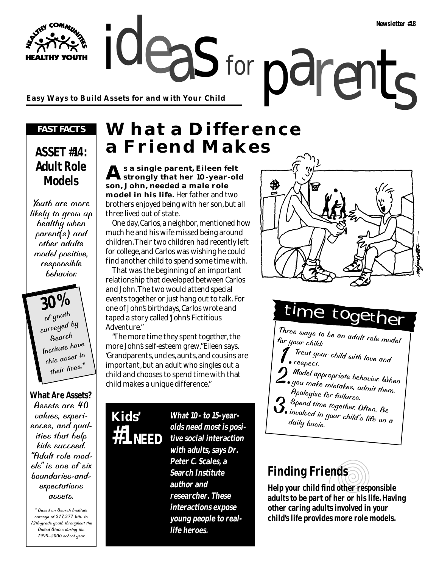ideas for parents **Easy Ways to Build Assets for and with Your Child**

#### *FAST FACTS*

**HY YOUTH** 

### **ASSET #14: Adult Role Models**

Youth are more likely to grow up healthy when parent(s) and other adults model positive, responsible behavior.

**30%** of youth surveyed by Search Institute have this asset in their lives.<sup>\*</sup>

#### **What Are Assets?**

Assets are 40 values, experiences, and qualities that help kids succeed. "Adult role models" is one of six boundaries-andexpectations assets.

\* Based on Search Institute surveys of 217,277 6th- to 12th-grade youth throughout the United States during the 1999–2000 school year.

## **What a Difference a Friend Makes**

for

**As a single parent, Eileen felt strongly that her 10-year-old son, John, needed a male role model in his life.** Her father and two brothers enjoyed being with her son, but all three lived out of state.

One day, Carlos, a neighbor, mentioned how much he and his wife missed being around children. Their two children had recently left for college, and Carlos was wishing he could find another child to spend some time with.

That was the beginning of an important relationship that developed between Carlos and John. The two would attend special events together or just hang out to talk. For one of John's birthdays, Carlos wrote and taped a story called "John's Fictitious Adventure."

"The more time they spent together, the more John's self-esteem grew," Eileen says. "Grandparents, uncles, aunts, and cousins are important, but an adult who singles out a child and chooses to spend time with that child makes a unique difference."



**What 10- to 15-yearolds need most is positive social interaction with adults, says Dr. Peter C. Scales, a Search Institute author and researcher. These interactions expose young people to reallife heroes.**



## time toge

Three ways to be an adult role model for your child:

- 1.Treat your child with love and
- respect.<br>Model appropriate behavior. When 2. Model appropriate behavior. When you make mistakes, admit them. Apologize for failures. Apologize for failures.<br>Spend time together. Often. Be
- involved in your child's life on a daily basis.

## **Finding Friends**

**Help your child find other responsible adults to be part of her or his life. Having other caring adults involved in your child's life provides more role models.**